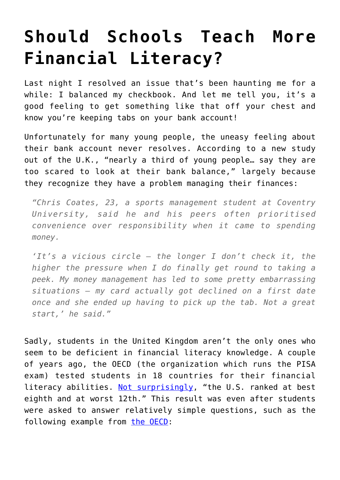## **[Should Schools Teach More](https://intellectualtakeout.org/2016/02/should-schools-teach-more-financial-literacy/) [Financial Literacy?](https://intellectualtakeout.org/2016/02/should-schools-teach-more-financial-literacy/)**

Last night I resolved an issue that's been haunting me for a while: I balanced my checkbook. And let me tell you, it's a good feeling to get something like that off your chest and know you're keeping tabs on your bank account!

Unfortunately for many young people, the uneasy feeling about their bank account never resolves. According to a new study out of the U.K., "nearly a third of young people… say they are too scared to look at their bank balance," largely because they recognize they have a problem managing their finances:

*"Chris Coates, 23, a sports management student at Coventry University, said he and his peers often prioritised convenience over responsibility when it came to spending money.*

*'It's a vicious circle – the longer I don't check it, the higher the pressure when I do finally get round to taking a peek. My money management has led to some pretty embarrassing situations – my card actually got declined on a first date once and she ended up having to pick up the tab. Not a great start,' he said."*

Sadly, students in the United Kingdom aren't the only ones who seem to be deficient in financial literacy knowledge. A couple of years ago, the OECD (the organization which runs the PISA exam) tested students in 18 countries for their financial literacy abilities. [Not surprisingly](http://www.cnbc.com/2014/07/08/teen-financial-literacy-test-country-with-most-money-smarts-not-the-us.html), "the U.S. ranked at best eighth and at worst 12th." This result was even after students were asked to answer relatively simple questions, such as the following example from [the OECD](http://www.oecd.org/finance/financial-education/PISA2012FrameworkLiteracy.pdf):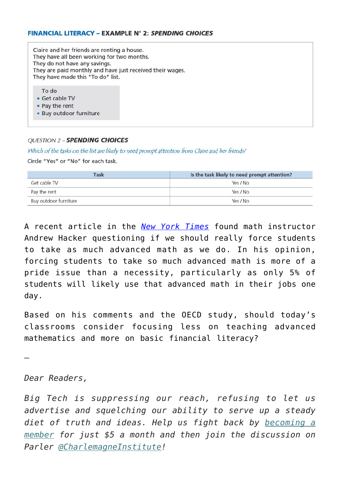Claire and her friends are renting a house. They have all been working for two months. They do not have any savings. They are paid monthly and have just received their wages. They have made this "To do" list.

To do

- · Get cable TV
- Pay the rent
- · Buy outdoor furniture

## **OUESTION 2 - SPENDING CHOICES**

Which of the tasks on the list are likely to need prompt attention from Claire and her friends?

Circle "Yes" or "No" for each task

| Task                  | Is the task likely to need prompt attention? |
|-----------------------|----------------------------------------------|
| Get cable TV          | Yes / No                                     |
| Pay the rent          | Yes / No                                     |
| Buy outdoor furniture | Yes / No                                     |

A recent article in the *[New York Times](http://www.nytimes.com/2016/02/07/education/edlife/who-needs-advanced-math-not-everybody.html?partner=rss&emc=rss&_r=0)* found math instructor Andrew Hacker questioning if we should really force students to take as much advanced math as we do. In his opinion, forcing students to take so much advanced math is more of a pride issue than a necessity, particularly as only 5% of students will likely use that advanced math in their jobs one day.

Based on his comments and the OECD study, should today's classrooms consider focusing less on teaching advanced mathematics and more on basic financial literacy?

—

*Dear Readers,*

*Big Tech is suppressing our reach, refusing to let us advertise and squelching our ability to serve up a steady diet of truth and ideas. Help us fight back by [becoming a](https://www.chroniclesmagazine.org/subscribe/) [member](https://www.chroniclesmagazine.org/subscribe/) for just \$5 a month and then join the discussion on Parler [@CharlemagneInstitute!](https://parler.com/profile/CharlemagneInstitute)*